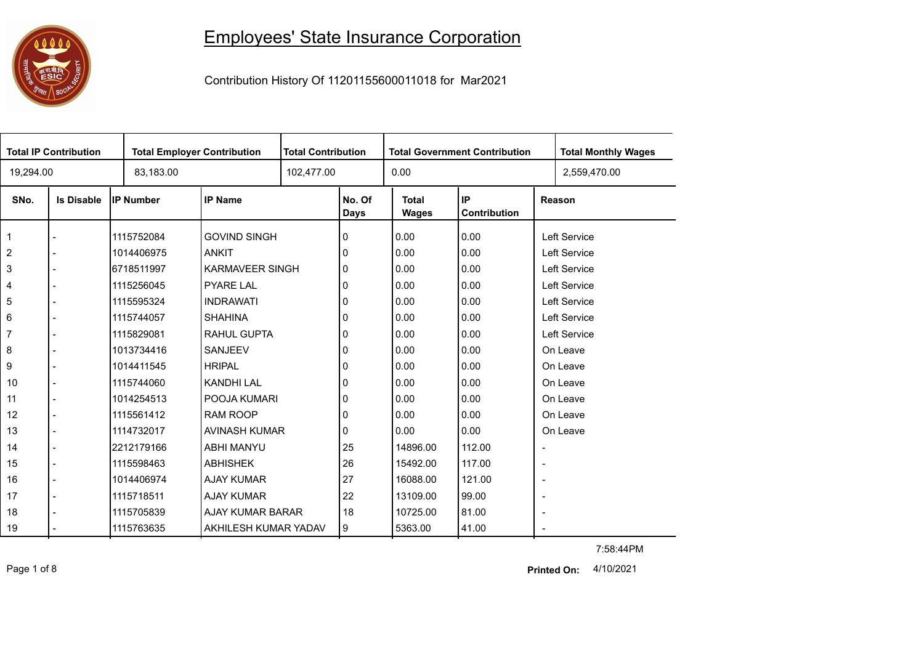## 

## Employees' State Insurance Corporation

Contribution History Of 11201155600011018 for Mar2021

| <b>Total IP Contribution</b> |                   |                  | <b>Total Employer Contribution</b> |  | <b>Total Contribution</b><br><b>Total Government Contribution</b> |                              |                    |                          | <b>Total Monthly Wages</b> |
|------------------------------|-------------------|------------------|------------------------------------|--|-------------------------------------------------------------------|------------------------------|--------------------|--------------------------|----------------------------|
| 19,294.00                    |                   | 83,183.00        |                                    |  |                                                                   | 0.00                         |                    |                          | 2,559,470.00               |
| SNo.                         | <b>Is Disable</b> | <b>IP Number</b> | <b>IP Name</b>                     |  | No. Of<br><b>Days</b>                                             | <b>Total</b><br><b>Wages</b> | IP<br>Contribution |                          | Reason                     |
| $\mathbf{1}$                 |                   | 1115752084       | <b>GOVIND SINGH</b>                |  | 0                                                                 | 0.00                         | 0.00               |                          | Left Service               |
| $\overline{2}$               |                   | 1014406975       | <b>ANKIT</b>                       |  | 0                                                                 | 0.00                         | 0.00               |                          | Left Service               |
| $\mathbf{3}$                 |                   | 6718511997       | <b>KARMAVEER SINGH</b>             |  | 0                                                                 | 0.00                         | 0.00               |                          | Left Service               |
| $\overline{\mathbf{4}}$      |                   | 1115256045       | <b>PYARE LAL</b>                   |  |                                                                   | 0.00                         | 0.00               |                          | Left Service               |
| 5                            |                   | 1115595324       | <b>INDRAWATI</b>                   |  | 0                                                                 | 0.00                         | 0.00               |                          | Left Service               |
| 6                            |                   | 1115744057       | <b>SHAHINA</b>                     |  | 0                                                                 | 0.00                         | 0.00               |                          | Left Service               |
| $\overline{7}$               |                   | 1115829081       | RAHUL GUPTA                        |  | 0                                                                 | 0.00                         | 0.00               |                          | Left Service               |
| $\bf 8$                      |                   | 1013734416       | <b>SANJEEV</b>                     |  | 0                                                                 | 0.00                         | 0.00               |                          | On Leave                   |
| 9                            |                   | 1014411545       | <b>HRIPAL</b>                      |  | 0                                                                 | 0.00                         | 0.00               |                          | On Leave                   |
| 10                           |                   | 1115744060       | <b>KANDHI LAL</b>                  |  | 0                                                                 | 0.00                         | 0.00               |                          | On Leave                   |
| 11                           |                   | 1014254513       | POOJA KUMARI                       |  | 0                                                                 | 0.00                         | 0.00               |                          | On Leave                   |
| 12                           |                   | 1115561412       | <b>RAM ROOP</b>                    |  | 0                                                                 | 0.00                         | 0.00               |                          | On Leave                   |
| 13                           |                   | 1114732017       | AVINASH KUMAR                      |  | 0                                                                 | 0.00                         | 0.00               |                          | On Leave                   |
| 14                           |                   | 2212179166       | <b>ABHI MANYU</b>                  |  | 25                                                                | 14896.00                     | 112.00             | $\overline{\phantom{a}}$ |                            |
| 15                           |                   | 1115598463       | <b>ABHISHEK</b>                    |  | 26                                                                | 15492.00                     | 117.00             | $\overline{\phantom{a}}$ |                            |
| 16                           |                   | 1014406974       | <b>AJAY KUMAR</b>                  |  | 27                                                                | 16088.00                     | 121.00             | $\overline{\phantom{a}}$ |                            |
| 17                           |                   | 1115718511       | <b>AJAY KUMAR</b>                  |  | 22                                                                | 13109.00                     | 99.00              | $\blacksquare$           |                            |
| 18                           |                   | 1115705839       | AJAY KUMAR BARAR                   |  | 18                                                                | 10725.00                     | 81.00              | $\overline{\phantom{a}}$ |                            |
| 19                           |                   | 1115763635       | AKHILESH KUMAR YADAV               |  | 9                                                                 | 5363.00                      | 41.00              | $\overline{\phantom{a}}$ |                            |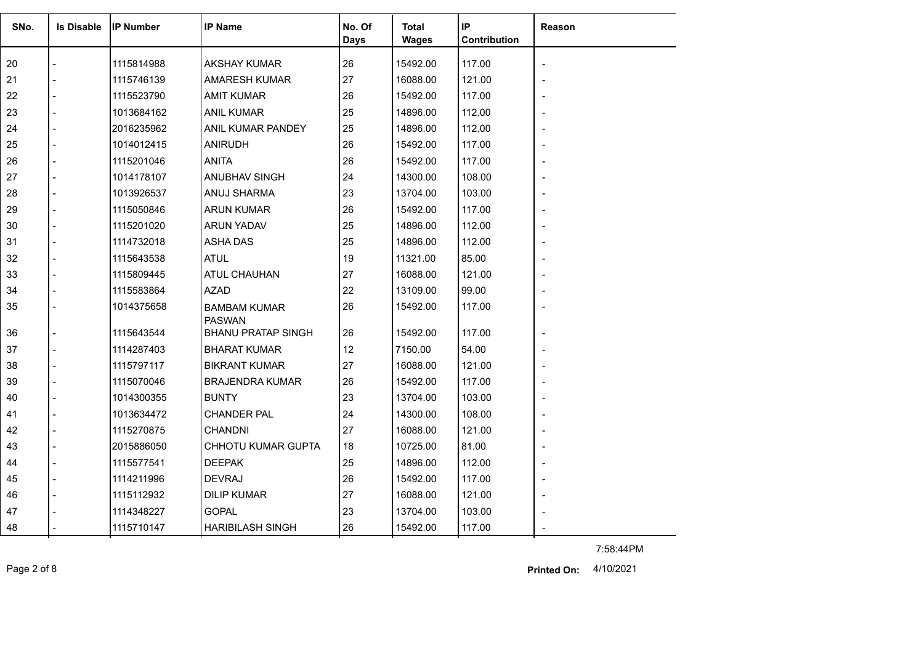| SNo. | <b>Is Disable</b> | <b>IP Number</b> | <b>IP Name</b>                       | No. Of<br><b>Days</b> | Total<br><b>Wages</b> | IP<br><b>Contribution</b> | <b>Reason</b>  |
|------|-------------------|------------------|--------------------------------------|-----------------------|-----------------------|---------------------------|----------------|
| 20   |                   | 1115814988       | <b>AKSHAY KUMAR</b>                  | 26                    | 15492.00              | 117.00                    | $\blacksquare$ |
| 21   |                   | 1115746139       | <b>AMARESH KUMAR</b>                 | 27                    | 16088.00              | 121.00                    |                |
| 22   |                   | 1115523790       | <b>AMIT KUMAR</b>                    | 26                    | 15492.00              | 117.00                    |                |
| 23   |                   | 1013684162       | <b>ANIL KUMAR</b>                    | 25                    | 14896.00              | 112.00                    |                |
| 24   |                   | 2016235962       | ANIL KUMAR PANDEY                    | 25                    | 14896.00              | 112.00                    |                |
| 25   |                   | 1014012415       | <b>ANIRUDH</b>                       | 26                    | 15492.00              | 117.00                    |                |
| 26   |                   | 1115201046       | <b>ANITA</b>                         | 26                    | 15492.00              | 117.00                    |                |
| 27   |                   | 1014178107       | <b>ANUBHAV SINGH</b>                 | 24                    | 14300.00              | 108.00                    |                |
| 28   |                   | 1013926537       | ANUJ SHARMA                          | 23                    | 13704.00              | 103.00                    |                |
| 29   |                   | 1115050846       | <b>ARUN KUMAR</b>                    | 26                    | 15492.00              | 117.00                    |                |
| 30   |                   | 1115201020       | <b>ARUN YADAV</b>                    | 25                    | 14896.00              | 112.00                    |                |
| 31   |                   | 1114732018       | <b>ASHA DAS</b>                      | 25                    | 14896.00              | 112.00                    |                |
| 32   |                   | 1115643538       | <b>ATUL</b>                          | 19                    | 11321.00              | 85.00                     |                |
| 33   |                   | 1115809445       | ATUL CHAUHAN                         | 27                    | 16088.00              | 121.00                    |                |
| 34   |                   | 1115583864       | <b>AZAD</b>                          | 22                    | 13109.00              | 99.00                     |                |
| 35   |                   | 1014375658       | <b>BAMBAM KUMAR</b><br><b>PASWAN</b> | 26                    | 15492.00              | 117.00                    |                |
| 36   |                   | 1115643544       | <b>BHANU PRATAP SINGH</b>            | 26                    | 15492.00              | 117.00                    |                |
| 37   |                   | 1114287403       | <b>BHARAT KUMAR</b>                  | 12                    | 7150.00               | 54.00                     |                |
| 38   |                   | 1115797117       | <b>BIKRANT KUMAR</b>                 | 27                    | 16088.00              | 121.00                    |                |
| 39   |                   | 1115070046       | <b>BRAJENDRA KUMAR</b>               | 26                    | 15492.00              | 117.00                    |                |
| 40   |                   | 1014300355       | <b>BUNTY</b>                         | 23                    | 13704.00              | 103.00                    |                |
| 41   |                   | 1013634472       | <b>CHANDER PAL</b>                   | 24                    | 14300.00              | 108.00                    |                |
| 42   |                   | 1115270875       | <b>CHANDNI</b>                       | 27                    | 16088.00              | 121.00                    |                |
| 43   |                   | 2015886050       | CHHOTU KUMAR GUPTA                   | 18                    | 10725.00              | 81.00                     |                |
| 44   |                   | 1115577541       | <b>DEEPAK</b>                        | 25                    | 14896.00              | 112.00                    |                |
| 45   |                   | 1114211996       | <b>DEVRAJ</b>                        | 26                    | 15492.00              | 117.00                    |                |
| 46   |                   | 1115112932       | <b>DILIP KUMAR</b>                   | 27                    | 16088.00              | 121.00                    |                |
| 47   |                   | 1114348227       | <b>GOPAL</b>                         | 23                    | 13704.00              | 103.00                    |                |
| 48   |                   | 1115710147       | <b>HARIBILASH SINGH</b>              | 26                    | 15492.00              | 117.00                    |                |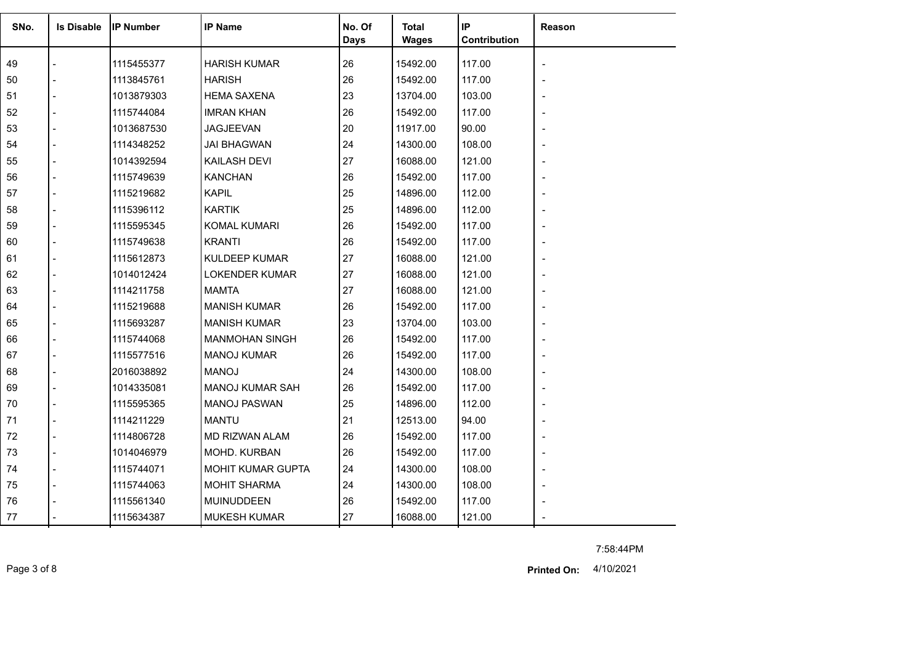| SNo. | <b>Is Disable</b> | <b>IP Number</b> | <b>IP Name</b>         | No. Of<br><b>Days</b> | Total<br><b>Wages</b> | IP<br>Contribution | Reason         |
|------|-------------------|------------------|------------------------|-----------------------|-----------------------|--------------------|----------------|
| 49   |                   | 1115455377       | <b>HARISH KUMAR</b>    | 26                    | 15492.00              | 117.00             |                |
| 50   |                   | 1113845761       | <b>HARISH</b>          | 26                    | 15492.00              | 117.00             |                |
| 51   |                   | 1013879303       | <b>HEMA SAXENA</b>     | 23                    | 13704.00              | 103.00             |                |
| 52   |                   | 1115744084       | <b>IMRAN KHAN</b>      | 26                    | 15492.00              | 117.00             |                |
| 53   |                   | 1013687530       | <b>JAGJEEVAN</b>       | 20                    | 11917.00              | 90.00              |                |
| 54   |                   | 1114348252       | <b>JAI BHAGWAN</b>     | 24                    | 14300.00              | 108.00             |                |
| 55   |                   | 1014392594       | KAILASH DEVI           | 27                    | 16088.00              | 121.00             |                |
| 56   |                   | 1115749639       | <b>KANCHAN</b>         | 26                    | 15492.00              | 117.00             |                |
| 57   |                   | 1115219682       | <b>KAPIL</b>           | 25                    | 14896.00              | 112.00             |                |
| 58   |                   | 1115396112       | <b>KARTIK</b>          | 25                    | 14896.00              | 112.00             |                |
| 59   |                   | 1115595345       | <b>KOMAL KUMARI</b>    | 26                    | 15492.00              | 117.00             |                |
| 60   |                   | 1115749638       | <b>KRANTI</b>          | 26                    | 15492.00              | 117.00             |                |
| 61   |                   | 1115612873       | <b>KULDEEP KUMAR</b>   | 27                    | 16088.00              | 121.00             |                |
| 62   |                   | 1014012424       | <b>LOKENDER KUMAR</b>  | 27                    | 16088.00              | 121.00             |                |
| 63   |                   | 1114211758       | <b>MAMTA</b>           | 27                    | 16088.00              | 121.00             |                |
| 64   |                   | 1115219688       | <b>MANISH KUMAR</b>    | 26                    | 15492.00              | 117.00             |                |
| 65   |                   | 1115693287       | <b>MANISH KUMAR</b>    | 23                    | 13704.00              | 103.00             |                |
| 66   |                   | 1115744068       | <b>MANMOHAN SINGH</b>  | 26                    | 15492.00              | 117.00             |                |
| 67   |                   | 1115577516       | <b>MANOJ KUMAR</b>     | 26                    | 15492.00              | 117.00             |                |
| 68   |                   | 2016038892       | <b>MANOJ</b>           | 24                    | 14300.00              | 108.00             |                |
| 69   |                   | 1014335081       | <b>MANOJ KUMAR SAH</b> | 26                    | 15492.00              | 117.00             |                |
| 70   |                   | 1115595365       | <b>MANOJ PASWAN</b>    | 25                    | 14896.00              | 112.00             |                |
| 71   |                   | 1114211229       | <b>MANTU</b>           | 21                    | 12513.00              | 94.00              |                |
| 72   |                   | 1114806728       | MD RIZWAN ALAM         | 26                    | 15492.00              | 117.00             |                |
| 73   |                   | 1014046979       | MOHD. KURBAN           | 26                    | 15492.00              | 117.00             |                |
| 74   |                   | 1115744071       | MOHIT KUMAR GUPTA      | 24                    | 14300.00              | 108.00             | $\blacksquare$ |
| 75   |                   | 1115744063       | <b>MOHIT SHARMA</b>    | 24                    | 14300.00              | 108.00             |                |
| 76   |                   | 1115561340       | MUINUDDEEN             | 26                    | 15492.00              | 117.00             |                |
| 77   |                   | 1115634387       | <b>MUKESH KUMAR</b>    | 27                    | 16088.00              | 121.00             |                |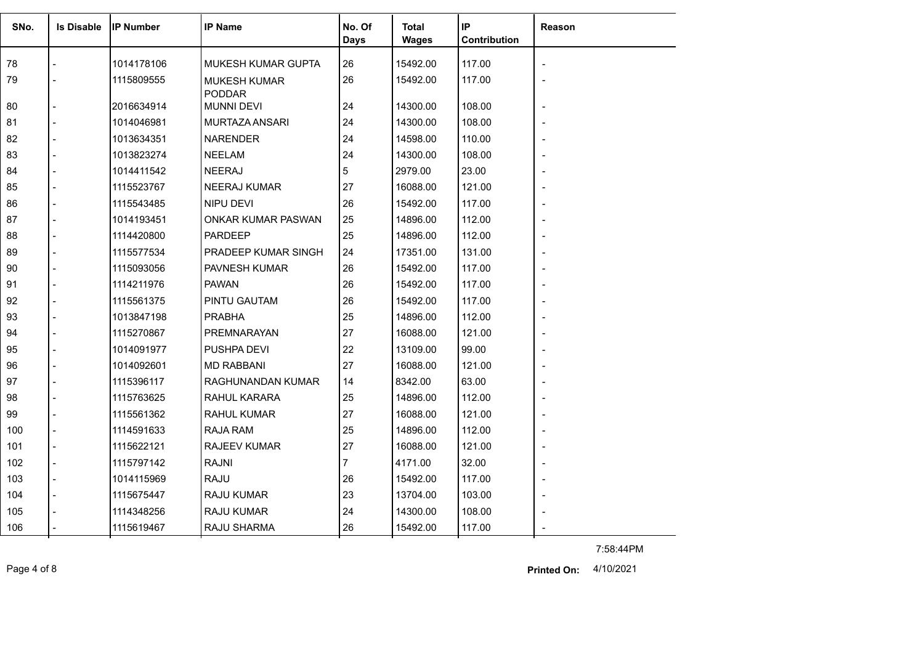| SNo. | <b>Is Disable</b> | <b>IIP Number</b> | <b>IP Name</b>                       | No. Of<br>Days | <b>Total</b><br><b>Wages</b> | IP<br>Contribution | Reason |
|------|-------------------|-------------------|--------------------------------------|----------------|------------------------------|--------------------|--------|
| 78   |                   | 1014178106        | <b>MUKESH KUMAR GUPTA</b>            | 26             | 15492.00                     | 117.00             |        |
| 79   |                   | 1115809555        | <b>MUKESH KUMAR</b><br><b>PODDAR</b> | 26             | 15492.00                     | 117.00             |        |
| 80   |                   | 2016634914        | <b>MUNNI DEVI</b>                    | 24             | 14300.00                     | 108.00             |        |
| 81   |                   | 1014046981        | MURTAZA ANSARI                       | 24             | 14300.00                     | 108.00             |        |
| 82   |                   | 1013634351        | <b>NARENDER</b>                      | 24             | 14598.00                     | 110.00             |        |
| 83   |                   | 1013823274        | <b>NEELAM</b>                        | 24             | 14300.00                     | 108.00             |        |
| 84   |                   | 1014411542        | <b>NEERAJ</b>                        | 5              | 2979.00                      | 23.00              |        |
| 85   |                   | 1115523767        | <b>NEERAJ KUMAR</b>                  | 27             | 16088.00                     | 121.00             |        |
| 86   |                   | 1115543485        | NIPU DEVI                            | 26             | 15492.00                     | 117.00             |        |
| 87   |                   | 1014193451        | ONKAR KUMAR PASWAN                   | 25             | 14896.00                     | 112.00             |        |
| 88   |                   | 1114420800        | <b>PARDEEP</b>                       | 25             | 14896.00                     | 112.00             |        |
| 89   |                   | 1115577534        | PRADEEP KUMAR SINGH                  | 24             | 17351.00                     | 131.00             |        |
| 90   |                   | 1115093056        | PAVNESH KUMAR                        | 26             | 15492.00                     | 117.00             |        |
| 91   |                   | 1114211976        | <b>PAWAN</b>                         | 26             | 15492.00                     | 117.00             |        |
| 92   |                   | 1115561375        | PINTU GAUTAM                         | 26             | 15492.00                     | 117.00             |        |
| 93   |                   | 1013847198        | <b>PRABHA</b>                        | 25             | 14896.00                     | 112.00             |        |
| 94   |                   | 1115270867        | PREMNARAYAN                          | 27             | 16088.00                     | 121.00             |        |
| 95   |                   | 1014091977        | PUSHPA DEVI                          | 22             | 13109.00                     | 99.00              |        |
| 96   |                   | 1014092601        | <b>MD RABBANI</b>                    | 27             | 16088.00                     | 121.00             |        |
| 97   |                   | 1115396117        | RAGHUNANDAN KUMAR                    | 14             | 8342.00                      | 63.00              |        |
| 98   |                   | 1115763625        | RAHUL KARARA                         | 25             | 14896.00                     | 112.00             |        |
| 99   |                   | 1115561362        | RAHUL KUMAR                          | 27             | 16088.00                     | 121.00             |        |
| 100  |                   | 1114591633        | <b>RAJA RAM</b>                      | 25             | 14896.00                     | 112.00             |        |
| 101  |                   | 1115622121        | <b>RAJEEV KUMAR</b>                  | 27             | 16088.00                     | 121.00             |        |
| 102  |                   | 1115797142        | <b>RAJNI</b>                         | $\overline{7}$ | 4171.00                      | 32.00              |        |
| 103  |                   | 1014115969        | <b>RAJU</b>                          | 26             | 15492.00                     | 117.00             |        |
| 104  |                   | 1115675447        | RAJU KUMAR                           | 23             | 13704.00                     | 103.00             |        |
| 105  |                   | 1114348256        | <b>RAJU KUMAR</b>                    | 24             | 14300.00                     | 108.00             |        |
| 106  |                   | 1115619467        | RAJU SHARMA                          | 26             | 15492.00                     | 117.00             |        |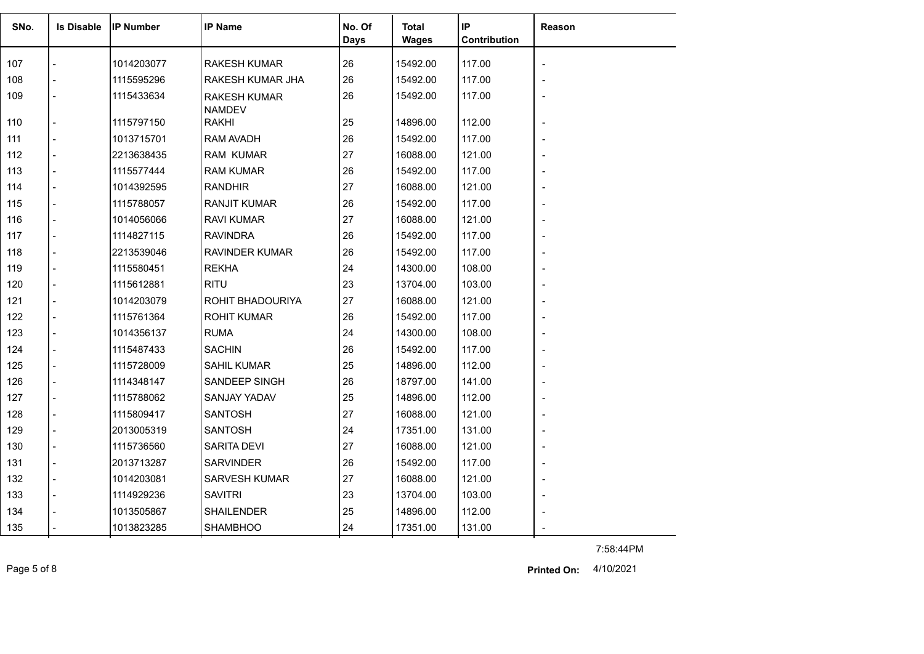| SNo. | <b>Is Disable</b> | <b>IP Number</b> | <b>IP Name</b>                | No. Of<br><b>Days</b> | Total<br><b>Wages</b> | IP<br>Contribution | <b>Reason</b>            |
|------|-------------------|------------------|-------------------------------|-----------------------|-----------------------|--------------------|--------------------------|
| 107  |                   | 1014203077       | <b>RAKESH KUMAR</b>           | 26                    | 15492.00              | 117.00             | $\overline{\phantom{a}}$ |
| 108  |                   | 1115595296       | RAKESH KUMAR JHA              | 26                    | 15492.00              | 117.00             |                          |
| 109  |                   | 1115433634       | <b>RAKESH KUMAR</b>           | 26                    | 15492.00              | 117.00             |                          |
| 110  |                   | 1115797150       | <b>NAMDEV</b><br><b>RAKHI</b> | 25                    | 14896.00              | 112.00             |                          |
| 111  |                   | 1013715701       | RAM AVADH                     | 26                    | 15492.00              | 117.00             |                          |
| 112  |                   | 2213638435       | <b>RAM KUMAR</b>              | 27                    | 16088.00              | 121.00             |                          |
| 113  |                   | 1115577444       | <b>RAM KUMAR</b>              | 26                    | 15492.00              | 117.00             |                          |
| 114  |                   | 1014392595       | <b>RANDHIR</b>                | 27                    | 16088.00              | 121.00             |                          |
| 115  |                   | 1115788057       | <b>RANJIT KUMAR</b>           | 26                    | 15492.00              | 117.00             |                          |
| 116  |                   | 1014056066       | <b>RAVI KUMAR</b>             | 27                    | 16088.00              | 121.00             |                          |
| 117  |                   | 1114827115       | <b>RAVINDRA</b>               | 26                    | 15492.00              | 117.00             |                          |
| 118  |                   | 2213539046       | <b>RAVINDER KUMAR</b>         | 26                    | 15492.00              | 117.00             |                          |
| 119  |                   | 1115580451       | <b>REKHA</b>                  | 24                    | 14300.00              | 108.00             |                          |
| 120  |                   | 1115612881       | <b>RITU</b>                   | 23                    | 13704.00              | 103.00             |                          |
| 121  |                   | 1014203079       | ROHIT BHADOURIYA              | 27                    | 16088.00              | 121.00             |                          |
| 122  |                   | 1115761364       | <b>ROHIT KUMAR</b>            | 26                    | 15492.00              | 117.00             |                          |
| 123  |                   | 1014356137       | <b>RUMA</b>                   | 24                    | 14300.00              | 108.00             |                          |
| 124  |                   | 1115487433       | <b>SACHIN</b>                 | 26                    | 15492.00              | 117.00             |                          |
| 125  |                   | 1115728009       | <b>SAHIL KUMAR</b>            | 25                    | 14896.00              | 112.00             |                          |
| 126  |                   | 1114348147       | SANDEEP SINGH                 | 26                    | 18797.00              | 141.00             |                          |
| 127  |                   | 1115788062       | <b>SANJAY YADAV</b>           | 25                    | 14896.00              | 112.00             |                          |
| 128  |                   | 1115809417       | <b>SANTOSH</b>                | 27                    | 16088.00              | 121.00             |                          |
| 129  |                   | 2013005319       | <b>SANTOSH</b>                | 24                    | 17351.00              | 131.00             |                          |
| 130  |                   | 1115736560       | SARITA DEVI                   | 27                    | 16088.00              | 121.00             |                          |
| 131  |                   | 2013713287       | <b>SARVINDER</b>              | 26                    | 15492.00              | 117.00             |                          |
| 132  |                   | 1014203081       | <b>SARVESH KUMAR</b>          | 27                    | 16088.00              | 121.00             |                          |
| 133  |                   | 1114929236       | <b>SAVITRI</b>                | 23                    | 13704.00              | 103.00             |                          |
| 134  |                   | 1013505867       | <b>SHAILENDER</b>             | 25                    | 14896.00              | 112.00             |                          |
| 135  |                   | 1013823285       | <b>SHAMBHOO</b>               | 24                    | 17351.00              | 131.00             |                          |

7:58:44PM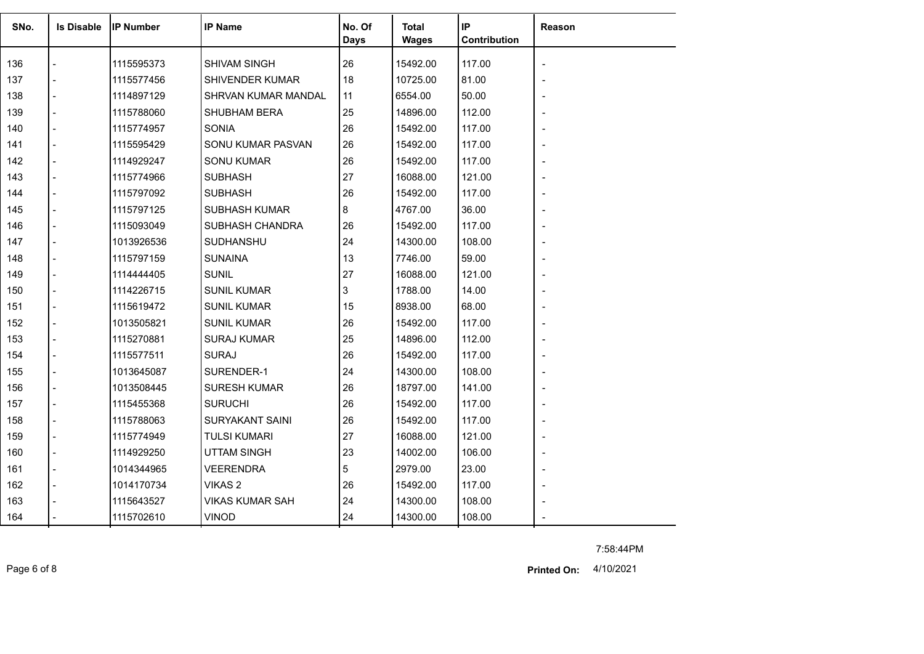| SNo. | <b>Is Disable</b> | <b>IP Number</b> | <b>IP Name</b>         | No. Of<br><b>Days</b> | Total<br><b>Wages</b> | IP<br>Contribution | Reason         |
|------|-------------------|------------------|------------------------|-----------------------|-----------------------|--------------------|----------------|
| 136  |                   | 1115595373       | SHIVAM SINGH           | 26                    | 15492.00              | 117.00             |                |
| 137  |                   | 1115577456       | <b>SHIVENDER KUMAR</b> | 18                    | 10725.00              | 81.00              |                |
| 138  |                   | 1114897129       | SHRVAN KUMAR MANDAL    | 11                    | 6554.00               | 50.00              |                |
| 139  |                   | 1115788060       | <b>SHUBHAM BERA</b>    | 25                    | 14896.00              | 112.00             |                |
| 140  |                   | 1115774957       | SONIA                  | 26                    | 15492.00              | 117.00             |                |
| 141  |                   | 1115595429       | SONU KUMAR PASVAN      | 26                    | 15492.00              | 117.00             |                |
| 142  |                   | 1114929247       | <b>SONU KUMAR</b>      | 26                    | 15492.00              | 117.00             |                |
| 143  |                   | 1115774966       | <b>SUBHASH</b>         | 27                    | 16088.00              | 121.00             |                |
| 144  |                   | 1115797092       | <b>SUBHASH</b>         | 26                    | 15492.00              | 117.00             |                |
| 145  |                   | 1115797125       | <b>SUBHASH KUMAR</b>   | 8                     | 4767.00               | 36.00              | $\blacksquare$ |
| 146  |                   | 1115093049       | SUBHASH CHANDRA        | 26                    | 15492.00              | 117.00             |                |
| 147  |                   | 1013926536       | SUDHANSHU              | 24                    | 14300.00              | 108.00             |                |
| 148  |                   | 1115797159       | <b>SUNAINA</b>         | 13                    | 7746.00               | 59.00              |                |
| 149  |                   | 1114444405       | <b>SUNIL</b>           | 27                    | 16088.00              | 121.00             |                |
| 150  |                   | 1114226715       | <b>SUNIL KUMAR</b>     | 3                     | 1788.00               | 14.00              |                |
| 151  |                   | 1115619472       | <b>SUNIL KUMAR</b>     | 15                    | 8938.00               | 68.00              |                |
| 152  |                   | 1013505821       | <b>SUNIL KUMAR</b>     | 26                    | 15492.00              | 117.00             |                |
| 153  |                   | 1115270881       | <b>SURAJ KUMAR</b>     | 25                    | 14896.00              | 112.00             |                |
| 154  |                   | 1115577511       | <b>SURAJ</b>           | 26                    | 15492.00              | 117.00             |                |
| 155  |                   | 1013645087       | SURENDER-1             | 24                    | 14300.00              | 108.00             |                |
| 156  |                   | 1013508445       | <b>SURESH KUMAR</b>    | 26                    | 18797.00              | 141.00             |                |
| 157  |                   | 1115455368       | <b>SURUCHI</b>         | 26                    | 15492.00              | 117.00             |                |
| 158  |                   | 1115788063       | <b>SURYAKANT SAINI</b> | 26                    | 15492.00              | 117.00             |                |
| 159  |                   | 1115774949       | <b>TULSI KUMARI</b>    | 27                    | 16088.00              | 121.00             |                |
| 160  |                   | 1114929250       | <b>UTTAM SINGH</b>     | 23                    | 14002.00              | 106.00             |                |
| 161  |                   | 1014344965       | <b>VEERENDRA</b>       | 5                     | 2979.00               | 23.00              | $\blacksquare$ |
| 162  |                   | 1014170734       | VIKAS <sub>2</sub>     | 26                    | 15492.00              | 117.00             |                |
| 163  |                   | 1115643527       | <b>VIKAS KUMAR SAH</b> | 24                    | 14300.00              | 108.00             |                |
| 164  |                   | 1115702610       | <b>VINOD</b>           | 24                    | 14300.00              | 108.00             |                |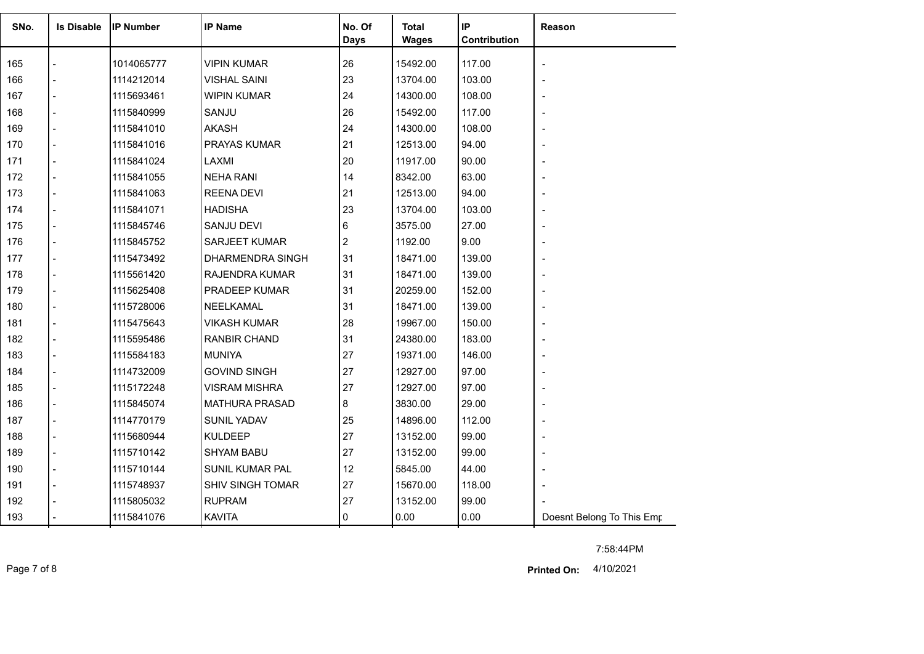| SNo. | <b>Is Disable</b> | <b>IP Number</b> | <b>IP Name</b>          | No. Of<br><b>Days</b> | <b>Total</b><br><b>Wages</b> | IP<br>Contribution | Reason                    |
|------|-------------------|------------------|-------------------------|-----------------------|------------------------------|--------------------|---------------------------|
|      |                   |                  |                         |                       |                              |                    |                           |
| 165  |                   | 1014065777       | <b>VIPIN KUMAR</b>      | 26                    | 15492.00                     | 117.00             | $\overline{\phantom{a}}$  |
| 166  |                   | 1114212014       | <b>VISHAL SAINI</b>     | 23                    | 13704.00                     | 103.00             |                           |
| 167  |                   | 1115693461       | <b>WIPIN KUMAR</b>      | 24                    | 14300.00                     | 108.00             |                           |
| 168  |                   | 1115840999       | SANJU                   | 26                    | 15492.00                     | 117.00             |                           |
| 169  |                   | 1115841010       | <b>AKASH</b>            | 24                    | 14300.00                     | 108.00             |                           |
| 170  |                   | 1115841016       | PRAYAS KUMAR            | 21                    | 12513.00                     | 94.00              |                           |
| 171  |                   | 1115841024       | LAXMI                   | 20                    | 11917.00                     | 90.00              |                           |
| 172  |                   | 1115841055       | <b>NEHA RANI</b>        | 14                    | 8342.00                      | 63.00              |                           |
| 173  |                   | 1115841063       | <b>REENA DEVI</b>       | 21                    | 12513.00                     | 94.00              |                           |
| 174  |                   | 1115841071       | <b>HADISHA</b>          | 23                    | 13704.00                     | 103.00             |                           |
| 175  |                   | 1115845746       | SANJU DEVI              | 6                     | 3575.00                      | 27.00              |                           |
| 176  |                   | 1115845752       | SARJEET KUMAR           | $\overline{2}$        | 1192.00                      | 9.00               |                           |
| 177  |                   | 1115473492       | DHARMENDRA SINGH        | 31                    | 18471.00                     | 139.00             |                           |
| 178  |                   | 1115561420       | RAJENDRA KUMAR          | 31                    | 18471.00                     | 139.00             |                           |
| 179  |                   | 1115625408       | PRADEEP KUMAR           | 31                    | 20259.00                     | 152.00             |                           |
| 180  |                   | 1115728006       | NEELKAMAL               | 31                    | 18471.00                     | 139.00             |                           |
| 181  |                   | 1115475643       | <b>VIKASH KUMAR</b>     | 28                    | 19967.00                     | 150.00             |                           |
| 182  |                   | 1115595486       | RANBIR CHAND            | 31                    | 24380.00                     | 183.00             |                           |
| 183  |                   | 1115584183       | <b>MUNIYA</b>           | 27                    | 19371.00                     | 146.00             |                           |
| 184  |                   | 1114732009       | <b>GOVIND SINGH</b>     | 27                    | 12927.00                     | 97.00              |                           |
| 185  |                   | 1115172248       | <b>VISRAM MISHRA</b>    | 27                    | 12927.00                     | 97.00              |                           |
| 186  |                   | 1115845074       | <b>MATHURA PRASAD</b>   | 8                     | 3830.00                      | 29.00              |                           |
| 187  |                   | 1114770179       | SUNIL YADAV             | 25                    | 14896.00                     | 112.00             |                           |
| 188  |                   | 1115680944       | <b>KULDEEP</b>          | 27                    | 13152.00                     | 99.00              |                           |
| 189  |                   | 1115710142       | <b>SHYAM BABU</b>       | 27                    | 13152.00                     | 99.00              |                           |
| 190  |                   | 1115710144       | <b>SUNIL KUMAR PAL</b>  | 12                    | 5845.00                      | 44.00              |                           |
| 191  |                   | 1115748937       | <b>SHIV SINGH TOMAR</b> | 27                    | 15670.00                     | 118.00             |                           |
| 192  |                   | 1115805032       | <b>RUPRAM</b>           | 27                    | 13152.00                     | 99.00              |                           |
| 193  |                   | 1115841076       | <b>KAVITA</b>           | 0                     | 0.00                         | 0.00               | Doesnt Belong To This Emp |